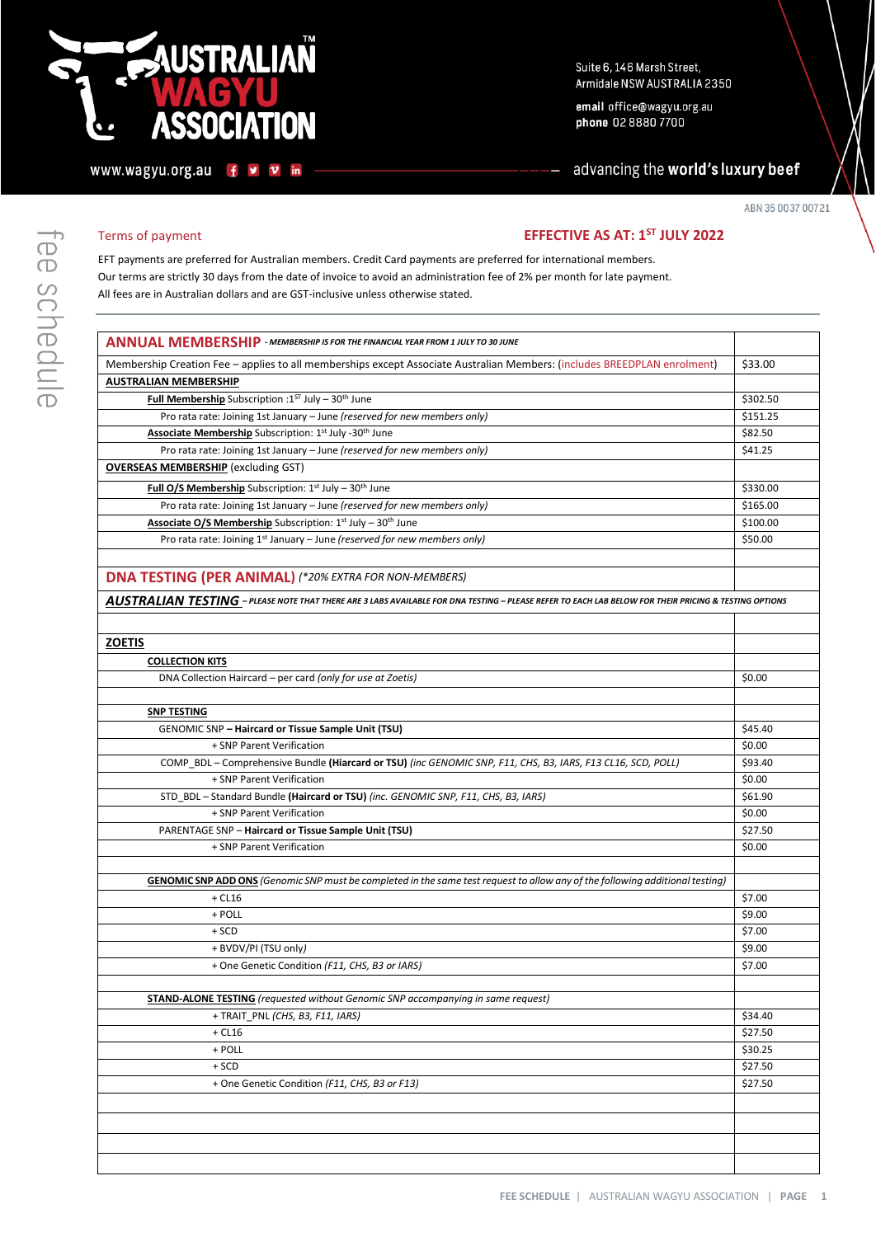# **USTRALIAN SSOCIATION**

www.wagyu.org.au fy  $\mathbf v$ 

in

Suite 6, 146 Marsh Street, Armidale NSW AUSTRALIA 2350

email office@wagyu.org.au phone 02 8880 7700

advancing the world's luxury beef

ABN 35 0037 00721

#### **EFFECTIVE AS AT: 1<sup>ST</sup> JULY 2022**

EFT payments are preferred for Australian members. Credit Card payments are preferred for international members. Our terms are strictly 30 days from the date of invoice to avoid an administration fee of 2% per month for late payment. All fees are in Australian dollars and are GST-inclusive unless otherwise stated.

| <b>ANNUAL MEMBERSHIP</b> - MEMBERSHIP IS FOR THE FINANCIAL YEAR FROM 1 JULY TO 30 JUNE                                                                |                    |
|-------------------------------------------------------------------------------------------------------------------------------------------------------|--------------------|
| Membership Creation Fee - applies to all memberships except Associate Australian Members: (includes BREEDPLAN enrolment)                              | \$33.00            |
| <b>AUSTRALIAN MEMBERSHIP</b>                                                                                                                          |                    |
| Full Membership Subscription: $1^{ST}$ July - $30^{th}$ June                                                                                          | \$302.50           |
| Pro rata rate: Joining 1st January - June (reserved for new members only)                                                                             | \$151.25           |
| Associate Membership Subscription: 1st July -30th June                                                                                                | \$82.50            |
| Pro rata rate: Joining 1st January - June (reserved for new members only)                                                                             | \$41.25            |
| <b>OVERSEAS MEMBERSHIP</b> (excluding GST)                                                                                                            |                    |
| Full O/S Membership Subscription: $1^{st}$ July - $30^{th}$ June                                                                                      | \$330.00           |
| Pro rata rate: Joining 1st January - June (reserved for new members only)                                                                             | \$165.00           |
| Associate O/S Membership Subscription: 1st July - 30th June                                                                                           | \$100.00           |
| Pro rata rate: Joining 1 <sup>st</sup> January - June (reserved for new members only)                                                                 | \$50.00            |
|                                                                                                                                                       |                    |
| <b>DNA TESTING (PER ANIMAL) (*20% EXTRA FOR NON-MEMBERS)</b>                                                                                          |                    |
| AUSTRALIAN TESTING - PLEASE NOTE THAT THERE ARE 3 LABS AVAILABLE FOR DNA TESTING - PLEASE REFER TO EACH LAB BELOW FOR THEIR PRICING & TESTING OPTIONS |                    |
|                                                                                                                                                       |                    |
| <b>ZOETIS</b>                                                                                                                                         |                    |
| <b>COLLECTION KITS</b>                                                                                                                                |                    |
| DNA Collection Haircard - per card (only for use at Zoetis)                                                                                           | \$0.00             |
|                                                                                                                                                       |                    |
| <b>SNP TESTING</b>                                                                                                                                    |                    |
| GENOMIC SNP - Haircard or Tissue Sample Unit (TSU)                                                                                                    | \$45.40            |
| + SNP Parent Verification                                                                                                                             | \$0.00             |
| COMP_BDL - Comprehensive Bundle (Hiarcard or TSU) (inc GENOMIC SNP, F11, CHS, B3, IARS, F13 CL16, SCD, POLL)                                          | \$93.40            |
| + SNP Parent Verification                                                                                                                             | \$0.00             |
| STD_BDL - Standard Bundle (Haircard or TSU) (inc. GENOMIC SNP, F11, CHS, B3, IARS)                                                                    | \$61.90            |
| + SNP Parent Verification                                                                                                                             | \$0.00             |
| PARENTAGE SNP - Haircard or Tissue Sample Unit (TSU)                                                                                                  | \$27.50            |
| + SNP Parent Verification                                                                                                                             | \$0.00             |
|                                                                                                                                                       |                    |
| <b>GENOMIC SNP ADD ONS</b> (Genomic SNP must be completed in the same test request to allow any of the following additional testing)                  |                    |
| $+$ CL16                                                                                                                                              | \$7.00             |
| + POLL                                                                                                                                                | \$9.00             |
| $+$ SCD                                                                                                                                               | \$7.00             |
| + BVDV/PI (TSU only)                                                                                                                                  | \$9.00             |
| + One Genetic Condition (F11, CHS, B3 or IARS)                                                                                                        | \$7.00             |
|                                                                                                                                                       |                    |
| <b>STAND-ALONE TESTING</b> (requested without Genomic SNP accompanying in same request)<br>+ TRAIT PNL (CHS. B3, F11, IARS)                           |                    |
| $+$ CL16                                                                                                                                              | \$34.40<br>\$27.50 |
|                                                                                                                                                       | \$30.25            |
| + POLL<br>$+$ SCD                                                                                                                                     | \$27.50            |
| + One Genetic Condition (F11, CHS, B3 or F13)                                                                                                         | \$27.50            |
|                                                                                                                                                       |                    |
|                                                                                                                                                       |                    |
|                                                                                                                                                       |                    |
|                                                                                                                                                       |                    |
|                                                                                                                                                       |                    |
|                                                                                                                                                       |                    |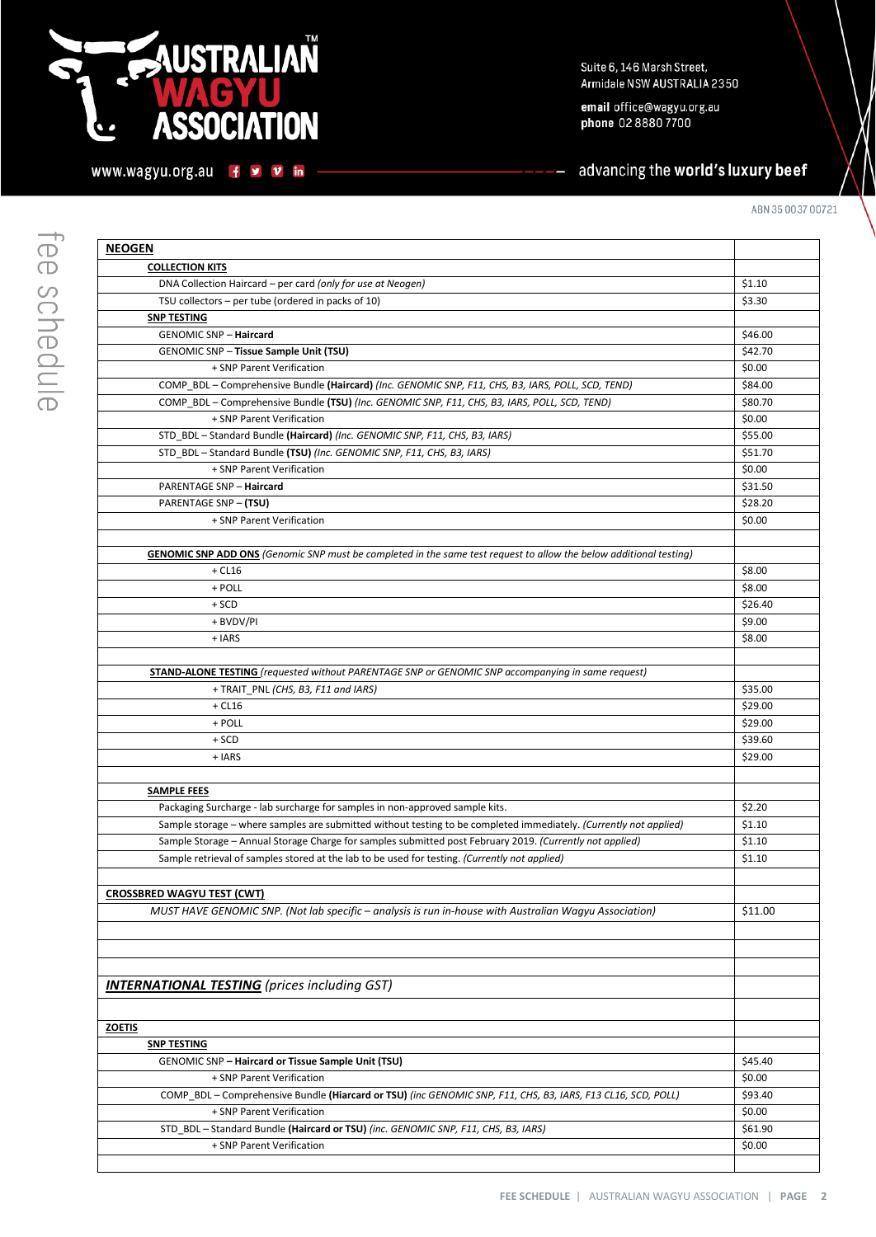### **NUSTRALIAN**  $\mathbf C$ **ASSOCIATION**

www.wagyu.org.au f y v in

email office@wagyu.org.au phone 02 8880 7700

### advancing the world's luxury beef

| <b>NEOGEN</b>                                                                                                             |         |
|---------------------------------------------------------------------------------------------------------------------------|---------|
| <b>COLLECTION KITS</b>                                                                                                    |         |
| DNA Collection Haircard – per card (only for use at Neogen)                                                               | \$1.10  |
| TSU collectors - per tube (ordered in packs of 10)                                                                        | \$3.30  |
| <b>SNP TESTING</b>                                                                                                        |         |
| <b>GENOMIC SNP - Haircard</b>                                                                                             | \$46.00 |
| <b>GENOMIC SNP - Tissue Sample Unit (TSU)</b>                                                                             | \$42.70 |
| + SNP Parent Verification                                                                                                 | \$0.00  |
| COMP_BDL - Comprehensive Bundle (Haircard) (Inc. GENOMIC SNP, F11, CHS, B3, IARS, POLL, SCD, TEND)                        | \$84.00 |
| COMP_BDL - Comprehensive Bundle (TSU) (Inc. GENOMIC SNP, F11, CHS, B3, IARS, POLL, SCD, TEND)                             | \$80.70 |
| + SNP Parent Verification                                                                                                 | \$0.00  |
| STD_BDL-Standard Bundle (Haircard) (Inc. GENOMIC SNP, F11, CHS, B3, IARS)                                                 | \$55.00 |
| STD_BDL-Standard Bundle (TSU) (Inc. GENOMIC SNP, F11, CHS, B3, IARS)                                                      | \$51.70 |
| + SNP Parent Verification                                                                                                 | \$0.00  |
| <b>PARENTAGE SNP - Haircard</b>                                                                                           | \$31.50 |
| <b>PARENTAGE SNP - (TSU)</b>                                                                                              | \$28.20 |
| + SNP Parent Verification                                                                                                 | \$0.00  |
|                                                                                                                           |         |
| <b>GENOMIC SNP ADD ONS</b> (Genomic SNP must be completed in the same test request to allow the below additional testing) |         |
| $+$ CL16                                                                                                                  | \$8.00  |
| + POLL                                                                                                                    | \$8.00  |
| $+$ SCD                                                                                                                   | \$26.40 |
| + BVDV/PI                                                                                                                 | \$9.00  |
| $+ IARS$                                                                                                                  | \$8.00  |
|                                                                                                                           |         |
| <b>STAND-ALONE TESTING</b> (requested without PARENTAGE SNP or GENOMIC SNP accompanying in same request)                  |         |
| + TRAIT_PNL (CHS, B3, F11 and IARS)                                                                                       | \$35.00 |
| $+$ CL16                                                                                                                  | \$29.00 |
| + POLL                                                                                                                    | \$29.00 |
| $+$ SCD                                                                                                                   | \$39.60 |
| + IARS                                                                                                                    | \$29.00 |
|                                                                                                                           |         |
| <b>SAMPLE FEES</b>                                                                                                        |         |
| Packaging Surcharge - lab surcharge for samples in non-approved sample kits.                                              | \$2.20  |
| Sample storage – where samples are submitted without testing to be completed immediately. (Currently not applied)         | \$1.10  |
| Sample Storage - Annual Storage Charge for samples submitted post February 2019. (Currently not applied)                  | \$1.10  |
| Sample retrieval of samples stored at the lab to be used for testing. (Currently not applied)                             | \$1.10  |
|                                                                                                                           |         |
|                                                                                                                           |         |
| <b>CROSSBRED WAGYU TEST (CWT)</b>                                                                                         |         |
| MUST HAVE GENOMIC SNP. (Not lab specific – analysis is run in-house with Australian Wagyu Association)                    | \$11.00 |
|                                                                                                                           |         |
|                                                                                                                           |         |
|                                                                                                                           |         |
| <b>INTERNATIONAL TESTING</b> (prices including GST)                                                                       |         |
|                                                                                                                           |         |
|                                                                                                                           |         |
| <b>ZOETIS</b>                                                                                                             |         |
| <b>SNP TESTING</b>                                                                                                        |         |
| GENOMIC SNP - Haircard or Tissue Sample Unit (TSU)                                                                        | \$45.40 |
| + SNP Parent Verification                                                                                                 | \$0.00  |
| COMP_BDL - Comprehensive Bundle (Hiarcard or TSU) (inc GENOMIC SNP, F11, CHS, B3, IARS, F13 CL16, SCD, POLL)              | \$93.40 |
| + SNP Parent Verification                                                                                                 | \$0.00  |
| STD_BDL - Standard Bundle (Haircard or TSU) (inc. GENOMIC SNP, F11, CHS, B3, IARS)                                        | \$61.90 |
| + SNP Parent Verification                                                                                                 | \$0.00  |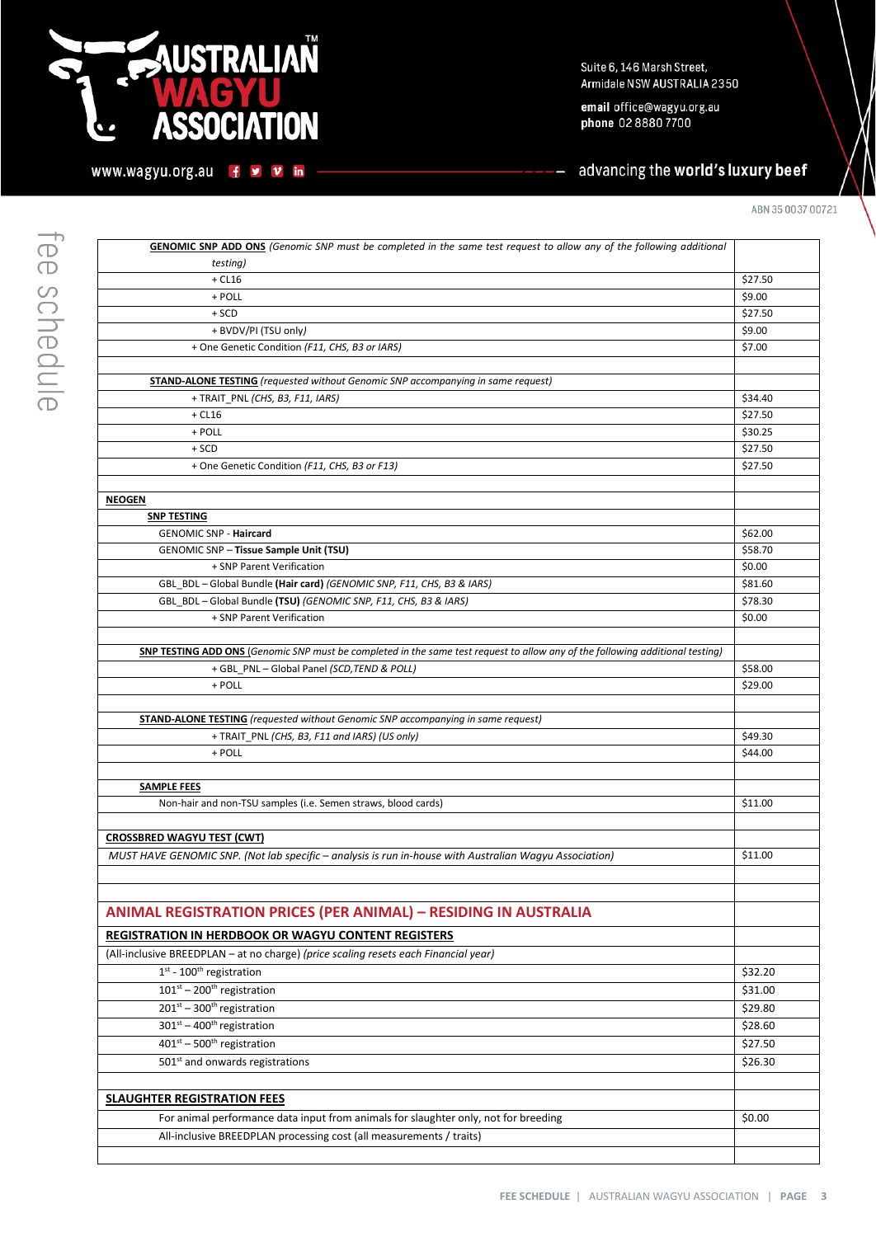### **NUSTRALIAÑ** С **ASSOCIATION** O

www.wagyu.org.au f y v in

Suite 6, 146 Marsh Street, Armidale NSW AUSTRALIA 2350

email office@wagyu.org.au phone 02 8880 7700

advancing the world's luxury beef

ABN 35 0037 00721

| <b>GENOMIC SNP ADD ONS</b> (Genomic SNP must be completed in the same test request to allow any of the following additional   |         |
|-------------------------------------------------------------------------------------------------------------------------------|---------|
| testing)                                                                                                                      |         |
| $+$ CL16                                                                                                                      | \$27.50 |
| + POLL                                                                                                                        | \$9.00  |
| $+$ SCD                                                                                                                       | \$27.50 |
| + BVDV/PI (TSU only)                                                                                                          | \$9.00  |
| + One Genetic Condition (F11, CHS, B3 or IARS)                                                                                | \$7.00  |
|                                                                                                                               |         |
| <b>STAND-ALONE TESTING</b> (requested without Genomic SNP accompanying in same request)                                       |         |
| + TRAIT_PNL (CHS, B3, F11, IARS)                                                                                              | \$34.40 |
| $+$ CL16                                                                                                                      | \$27.50 |
| + POLL                                                                                                                        | \$30.25 |
| $+$ SCD                                                                                                                       | \$27.50 |
| + One Genetic Condition (F11, CHS, B3 or F13)                                                                                 | \$27.50 |
|                                                                                                                               |         |
| <b>NEOGEN</b>                                                                                                                 |         |
| <b>SNP TESTING</b>                                                                                                            |         |
| <b>GENOMIC SNP - Haircard</b>                                                                                                 | \$62.00 |
| GENOMIC SNP - Tissue Sample Unit (TSU)                                                                                        | \$58.70 |
| + SNP Parent Verification                                                                                                     | \$0.00  |
| GBL_BDL - Global Bundle (Hair card) (GENOMIC SNP, F11, CHS, B3 & IARS)                                                        | \$81.60 |
| GBL_BDL - Global Bundle (TSU) (GENOMIC SNP, F11, CHS, B3 & IARS)                                                              | \$78.30 |
| + SNP Parent Verification                                                                                                     | \$0.00  |
|                                                                                                                               |         |
| SNP TESTING ADD ONS (Genomic SNP must be completed in the same test request to allow any of the following additional testing) |         |
| + GBL_PNL - Global Panel (SCD, TEND & POLL)                                                                                   | \$58.00 |
| + POLL                                                                                                                        | \$29.00 |
|                                                                                                                               |         |
| <b>STAND-ALONE TESTING</b> (requested without Genomic SNP accompanying in same request)                                       |         |
| + TRAIT_PNL (CHS, B3, F11 and IARS) (US only)                                                                                 | \$49.30 |
| + POLL                                                                                                                        | \$44.00 |
|                                                                                                                               |         |
| <b>SAMPLE FEES</b>                                                                                                            |         |
| Non-hair and non-TSU samples (i.e. Semen straws, blood cards)                                                                 | \$11.00 |
|                                                                                                                               |         |
| <b>CROSSBRED WAGYU TEST (CWT)</b>                                                                                             |         |
| MUST HAVE GENOMIC SNP. (Not lab specific - analysis is run in-house with Australian Wagyu Association)                        | \$11.00 |
|                                                                                                                               |         |
|                                                                                                                               |         |
| <b>ANIMAL REGISTRATION PRICES (PER ANIMAL) - RESIDING IN AUSTRALIA</b>                                                        |         |
| REGISTRATION IN HERDBOOK OR WAGYU CONTENT REGISTERS                                                                           |         |
|                                                                                                                               |         |
| (All-inclusive BREEDPLAN - at no charge) (price scaling resets each Financial year)                                           |         |
| $1st - 100th$ registration                                                                                                    | \$32.20 |
| $101^{st}$ – 200 <sup>th</sup> registration                                                                                   | \$31.00 |
| $201st - 300th$ registration                                                                                                  | \$29.80 |
| $301^{st} - 400^{th}$ registration                                                                                            | \$28.60 |
| $401^{st} - 500^{th}$ registration                                                                                            | \$27.50 |
| 501st and onwards registrations                                                                                               | \$26.30 |
|                                                                                                                               |         |
| <b>SLAUGHTER REGISTRATION FEES</b>                                                                                            |         |
| For animal performance data input from animals for slaughter only, not for breeding                                           | \$0.00  |
| All-inclusive BREEDPLAN processing cost (all measurements / traits)                                                           |         |
|                                                                                                                               |         |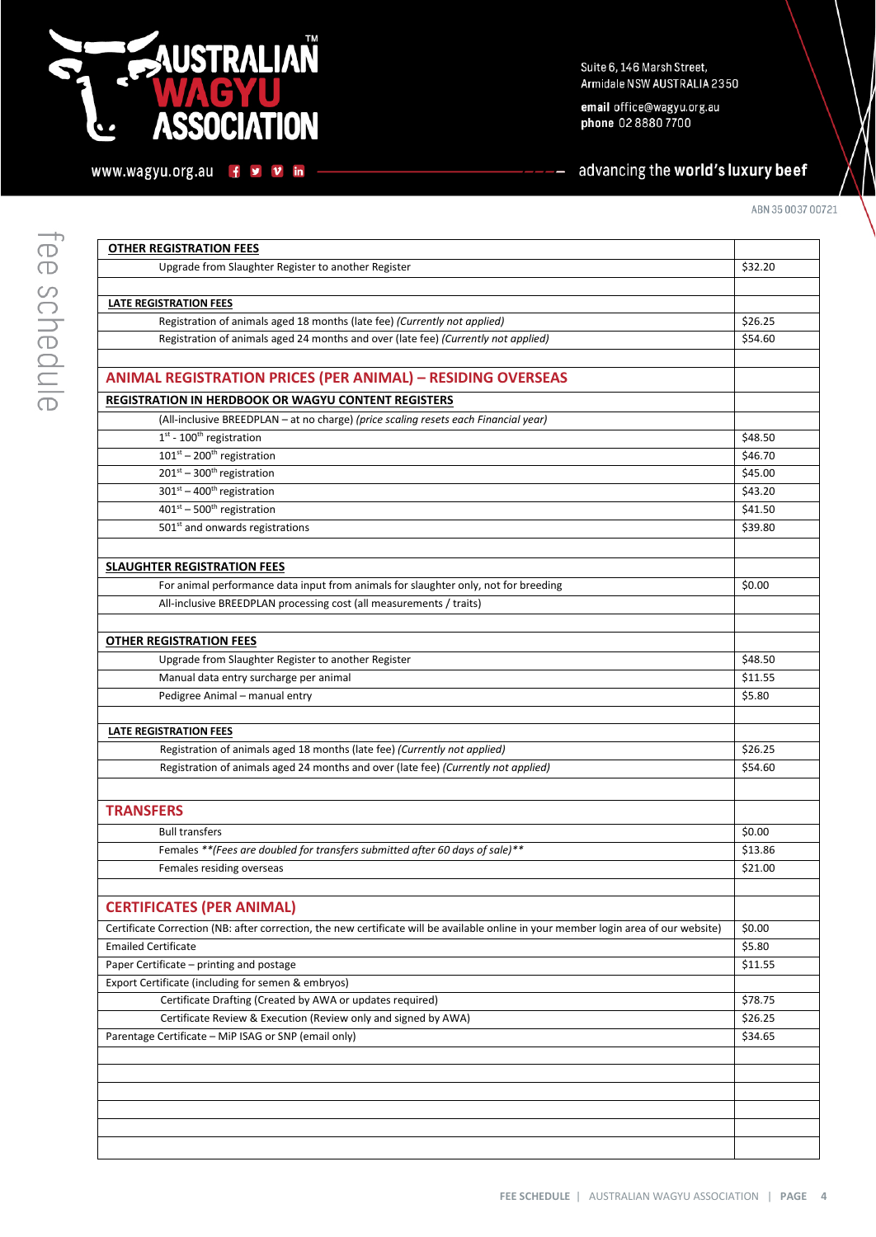## **LUSTRALIAÑ** Q **ASSOCIATION**

www.wagyu.org.au f y v in

Suite 6, 146 Marsh Street, Armidale NSW AUSTRALIA 2350

email office@wagyu.org.au phone 02 8880 7700

advancing the world's luxury beef

| <b>OTHER REGISTRATION FEES</b>                                                                                                       |         |
|--------------------------------------------------------------------------------------------------------------------------------------|---------|
| Upgrade from Slaughter Register to another Register                                                                                  | \$32.20 |
|                                                                                                                                      |         |
| <b>LATE REGISTRATION FEES</b>                                                                                                        |         |
| Registration of animals aged 18 months (late fee) (Currently not applied)                                                            | \$26.25 |
| Registration of animals aged 24 months and over (late fee) (Currently not applied)                                                   | \$54.60 |
|                                                                                                                                      |         |
| <b>ANIMAL REGISTRATION PRICES (PER ANIMAL) - RESIDING OVERSEAS</b>                                                                   |         |
| <b>REGISTRATION IN HERDBOOK OR WAGYU CONTENT REGISTERS</b>                                                                           |         |
| (All-inclusive BREEDPLAN - at no charge) (price scaling resets each Financial year)                                                  |         |
| $1st - 100th$ registration                                                                                                           | \$48.50 |
| $101st - 200th$ registration                                                                                                         | \$46.70 |
| $201^{st}$ – 300 <sup>th</sup> registration                                                                                          | \$45.00 |
| $301st - 400th$ registration                                                                                                         | \$43.20 |
| $401st - 500th$ registration                                                                                                         | \$41.50 |
| 501 <sup>st</sup> and onwards registrations                                                                                          | \$39.80 |
|                                                                                                                                      |         |
| <b>SLAUGHTER REGISTRATION FEES</b>                                                                                                   |         |
| For animal performance data input from animals for slaughter only, not for breeding                                                  | \$0.00  |
| All-inclusive BREEDPLAN processing cost (all measurements / traits)                                                                  |         |
|                                                                                                                                      |         |
| <b>OTHER REGISTRATION FEES</b>                                                                                                       |         |
| Upgrade from Slaughter Register to another Register                                                                                  | \$48.50 |
| Manual data entry surcharge per animal                                                                                               | \$11.55 |
| Pedigree Animal - manual entry                                                                                                       | \$5.80  |
|                                                                                                                                      |         |
| <b>LATE REGISTRATION FEES</b>                                                                                                        |         |
| Registration of animals aged 18 months (late fee) (Currently not applied)                                                            | \$26.25 |
| Registration of animals aged 24 months and over (late fee) (Currently not applied)                                                   | \$54.60 |
|                                                                                                                                      |         |
|                                                                                                                                      |         |
| <b>TRANSFERS</b>                                                                                                                     |         |
| <b>Bull transfers</b>                                                                                                                | \$0.00  |
| Females ** (Fees are doubled for transfers submitted after 60 days of sale)**                                                        | \$13.86 |
| Females residing overseas                                                                                                            | \$21.00 |
|                                                                                                                                      |         |
| <b>CERTIFICATES (PER ANIMAL)</b>                                                                                                     |         |
| Certificate Correction (NB: after correction, the new certificate will be available online in your member login area of our website) | \$0.00  |
| <b>Emailed Certificate</b>                                                                                                           | \$5.80  |
| Paper Certificate - printing and postage                                                                                             | \$11.55 |
| Export Certificate (including for semen & embryos)                                                                                   |         |
| Certificate Drafting (Created by AWA or updates required)                                                                            | \$78.75 |
| Certificate Review & Execution (Review only and signed by AWA)                                                                       | \$26.25 |
| Parentage Certificate - MiP ISAG or SNP (email only)                                                                                 | \$34.65 |
|                                                                                                                                      |         |
|                                                                                                                                      |         |
|                                                                                                                                      |         |
|                                                                                                                                      |         |
|                                                                                                                                      |         |
|                                                                                                                                      |         |